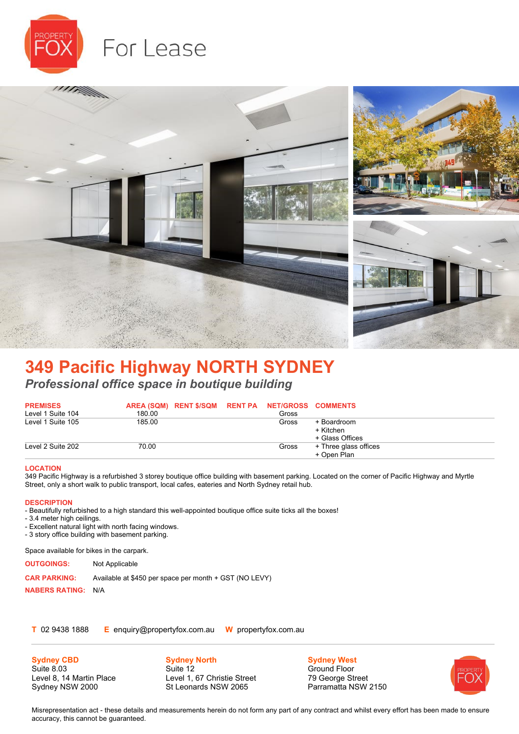



## **349 Pacific Highway NORTH SYDNEY** *Professional office space in boutique building*

| <b>PREMISES</b><br>Level 1 Suite 104 | 180.00 | AREA (SQM) RENT \$/SQM RENT PA NET/GROSS COMMENTS | Gross |                       |
|--------------------------------------|--------|---------------------------------------------------|-------|-----------------------|
| Level 1 Suite 105                    | 185.00 |                                                   | Gross | + Boardroom           |
|                                      |        |                                                   |       | + Kitchen             |
|                                      |        |                                                   |       | + Glass Offices       |
| Level 2 Suite 202                    | 70.00  |                                                   | Gross | + Three glass offices |
|                                      |        |                                                   |       | + Open Plan           |

## **LOCATION**

349 Pacific Highway is a refurbished 3 storey boutique office building with basement parking. Located on the corner of Pacific Highway and Myrtle Street, only a short walk to public transport, local cafes, eateries and North Sydney retail hub.

## **DESCRIPTION**

- Beautifully refurbished to a high standard this well-appointed boutique office suite ticks all the boxes!

- 3.4 meter high ceilings.

- Excellent natural light with north facing windows.

- 3 story office building with basement parking.

Space available for bikes in the carpark.

**OUTGOINGS:** Not Applicable

**CAR PARKING:** Available at \$450 per space per month + GST (NO LEVY)

**NABERS RATING:** N/A

**T** 02 9438 1888 **E** enquiry@propertyfox.com.au **W** propertyfox.com.au

**Sydney CBD** Suite 8.03 Level 8, 14 Martin Place Sydney NSW 2000

**Sydney North** Suite 12 Level 1, 67 Christie Street St Leonards NSW 2065

**Sydney West** Ground Floor 79 George Street Parramatta NSW 2150



Misrepresentation act - these details and measurements herein do not form any part of any contract and whilst every effort has been made to ensure accuracy, this cannot be guaranteed.